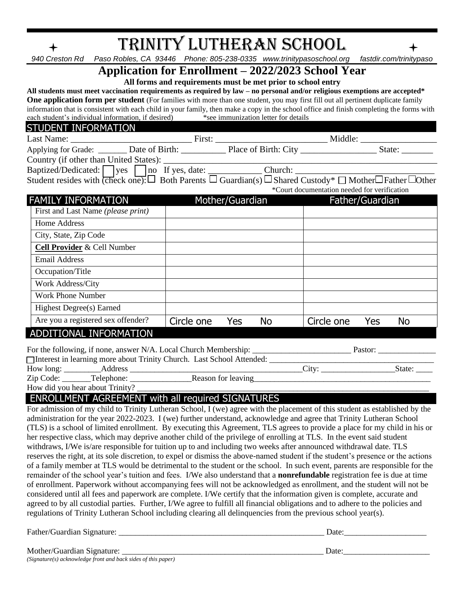*940 Creston Rd Paso Robles, CA 93446 Phone: 805-238-0335 www.trinitypasoschool.org fastdir.com/trinitypaso*

## **Application for Enrollment – 2022/2023 School Year**

|                                                                                                                                                                                                                                 | All forms and requirements must be met prior to school entry |                 |                                      |                                              |                 |               |
|---------------------------------------------------------------------------------------------------------------------------------------------------------------------------------------------------------------------------------|--------------------------------------------------------------|-----------------|--------------------------------------|----------------------------------------------|-----------------|---------------|
| All students must meet vaccination requirements as required by law – no personal and/or religious exemptions are accepted*                                                                                                      |                                                              |                 |                                      |                                              |                 |               |
| <b>One application form per student</b> (For families with more than one student, you may first fill out all pertinent duplicate family                                                                                         |                                                              |                 |                                      |                                              |                 |               |
| information that is consistent with each child in your family, then make a copy in the school office and finish completing the forms with                                                                                       |                                                              |                 |                                      |                                              |                 |               |
| each student's individual information, if desired)                                                                                                                                                                              |                                                              |                 | *see immunization letter for details |                                              |                 |               |
| <b>STUDENT INFORMATION</b>                                                                                                                                                                                                      |                                                              |                 |                                      |                                              |                 |               |
|                                                                                                                                                                                                                                 |                                                              |                 |                                      |                                              |                 |               |
|                                                                                                                                                                                                                                 |                                                              |                 |                                      |                                              |                 |               |
|                                                                                                                                                                                                                                 |                                                              |                 |                                      |                                              |                 |               |
| Country (if other than United States):<br>Baptized/Dedicated: set one): set of the state: set one one of the state: set of the Student resides with (check one):<br>a Both Parents □ Guardian(s) □ Shared Custody* □ Mother □ F |                                                              |                 |                                      |                                              |                 |               |
|                                                                                                                                                                                                                                 |                                                              |                 |                                      |                                              |                 |               |
|                                                                                                                                                                                                                                 |                                                              |                 |                                      | *Court documentation needed for verification |                 |               |
| <b>FAMILY INFORMATION</b>                                                                                                                                                                                                       |                                                              | Mother/Guardian |                                      | <u> Maria Alemania de Sant</u>               | Father/Guardian |               |
| First and Last Name (please print)                                                                                                                                                                                              |                                                              |                 |                                      |                                              |                 |               |
| <b>Home Address</b>                                                                                                                                                                                                             |                                                              |                 |                                      |                                              |                 |               |
| City, State, Zip Code                                                                                                                                                                                                           |                                                              |                 |                                      |                                              |                 |               |
| Cell Provider & Cell Number                                                                                                                                                                                                     |                                                              |                 |                                      |                                              |                 |               |
| <b>Email Address</b>                                                                                                                                                                                                            |                                                              |                 |                                      |                                              |                 |               |
| Occupation/Title                                                                                                                                                                                                                |                                                              |                 |                                      |                                              |                 |               |
| <b>Work Address/City</b>                                                                                                                                                                                                        |                                                              |                 |                                      |                                              |                 |               |
| <b>Work Phone Number</b>                                                                                                                                                                                                        |                                                              |                 |                                      |                                              |                 |               |
| Highest Degree(s) Earned                                                                                                                                                                                                        |                                                              |                 |                                      |                                              |                 |               |
| Are you a registered sex offender?                                                                                                                                                                                              | Circle one                                                   | Yes             | <b>No</b>                            | Circle one                                   | Yes             | No            |
| ADDITIONAL INFORMATION                                                                                                                                                                                                          |                                                              |                 |                                      |                                              |                 |               |
|                                                                                                                                                                                                                                 |                                                              |                 |                                      |                                              |                 |               |
| For the following, if none, answer N/A. Local Church Membership: Pastor: Pastor:                                                                                                                                                |                                                              |                 |                                      |                                              |                 |               |
| Interest in learning more about Trinity Church. Last School Attended: ___________                                                                                                                                               |                                                              |                 |                                      |                                              |                 |               |
|                                                                                                                                                                                                                                 |                                                              |                 |                                      | $\text{City:}$                               |                 | State: $\_\_$ |

Zip Code: Telephone: Reason for leaving

How did you hear about Trinity?

#### ENROLLMENT AGREEMENT with all required SIGNATURES

For admission of my child to Trinity Lutheran School, I (we) agree with the placement of this student as established by the administration for the year 2022-2023. I (we) further understand, acknowledge and agree that Trinity Lutheran School (TLS) is a school of limited enrollment. By executing this Agreement, TLS agrees to provide a place for my child in his or her respective class, which may deprive another child of the privilege of enrolling at TLS. In the event said student withdraws, I/We is/are responsible for tuition up to and including two weeks after announced withdrawal date. TLS reserves the right, at its sole discretion, to expel or dismiss the above-named student if the student's presence or the actions of a family member at TLS would be detrimental to the student or the school. In such event, parents are responsible for the remainder of the school year's tuition and fees. I/We also understand that a **nonrefundable** registration fee is due at time of enrollment. Paperwork without accompanying fees will not be acknowledged as enrollment, and the student will not be considered until all fees and paperwork are complete. I/We certify that the information given is complete, accurate and agreed to by all custodial parties. Further, I/We agree to fulfill all financial obligations and to adhere to the policies and regulations of Trinity Lutheran School including clearing all delinquencies from the previous school year(s).

Father/Guardian Signature: \_\_\_\_\_\_\_\_\_\_\_\_\_\_\_\_\_\_\_\_\_\_\_\_\_\_\_\_\_\_\_\_\_\_\_\_\_\_\_\_\_\_\_\_\_\_\_\_\_\_ Date:\_\_\_\_\_\_\_\_\_\_\_\_\_\_\_\_\_\_\_\_

Mother/Guardian Signature: \_\_\_\_\_\_\_\_\_\_\_\_\_\_\_\_\_\_\_\_\_\_\_\_\_\_\_\_\_\_\_\_\_\_\_\_\_\_\_\_\_\_\_\_\_\_\_\_\_ Date:\_\_\_\_\_\_\_\_\_\_\_\_\_\_\_\_\_\_\_\_\_ *(Signature(s) acknowledge front and back sides of this paper)*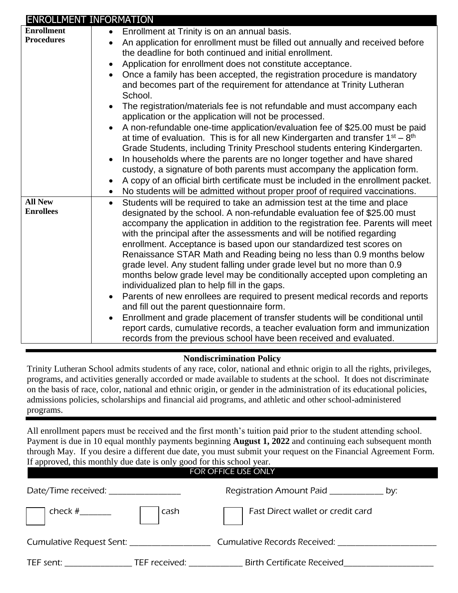| <b>ENROLLMENT INFORMATION</b>                                                                            |  |
|----------------------------------------------------------------------------------------------------------|--|
| <b>Enrollment</b><br>• Enrollment at Trinity is on an annual basis.                                      |  |
| <b>Procedures</b><br>An application for enrollment must be filled out annually and received before       |  |
| the deadline for both continued and initial enrollment.                                                  |  |
| Application for enrollment does not constitute acceptance.                                               |  |
| Once a family has been accepted, the registration procedure is mandatory<br>$\bullet$                    |  |
| and becomes part of the requirement for attendance at Trinity Lutheran                                   |  |
| School.                                                                                                  |  |
| The registration/materials fee is not refundable and must accompany each<br>$\bullet$                    |  |
| application or the application will not be processed.                                                    |  |
| A non-refundable one-time application/evaluation fee of \$25.00 must be paid                             |  |
| at time of evaluation. This is for all new Kindergarten and transfer $1^{st} - 8^{th}$                   |  |
| Grade Students, including Trinity Preschool students entering Kindergarten.                              |  |
| In households where the parents are no longer together and have shared<br>$\bullet$                      |  |
| custody, a signature of both parents must accompany the application form.                                |  |
| A copy of an official birth certificate must be included in the enrollment packet.                       |  |
| No students will be admitted without proper proof of required vaccinations.                              |  |
| <b>All New</b><br>Students will be required to take an admission test at the time and place<br>$\bullet$ |  |
| <b>Enrollees</b><br>designated by the school. A non-refundable evaluation fee of \$25.00 must            |  |
| accompany the application in addition to the registration fee. Parents will meet                         |  |
| with the principal after the assessments and will be notified regarding                                  |  |
| enrollment. Acceptance is based upon our standardized test scores on                                     |  |
| Renaissance STAR Math and Reading being no less than 0.9 months below                                    |  |
| grade level. Any student falling under grade level but no more than 0.9                                  |  |
| months below grade level may be conditionally accepted upon completing an                                |  |
| individualized plan to help fill in the gaps.                                                            |  |
| Parents of new enrollees are required to present medical records and reports                             |  |
| and fill out the parent questionnaire form.                                                              |  |
| Enrollment and grade placement of transfer students will be conditional until                            |  |
| report cards, cumulative records, a teacher evaluation form and immunization                             |  |
| records from the previous school have been received and evaluated.                                       |  |

#### **Nondiscrimination Policy**

Trinity Lutheran School admits students of any race, color, national and ethnic origin to all the rights, privileges, programs, and activities generally accorded or made available to students at the school. It does not discriminate on the basis of race, color, national and ethnic origin, or gender in the administration of its educational policies, admissions policies, scholarships and financial aid programs, and athletic and other school-administered programs.

All enrollment papers must be received and the first month's tuition paid prior to the student attending school. Payment is due in 10 equal monthly payments beginning **August 1, 2022** and continuing each subsequent month through May. If you desire a different due date, you must submit your request on the Financial Agreement Form. If approved, this monthly due date is only good for this school year.

#### FOR OFFICE USE ONLY

| Date/Time received: _________________           |  | Registration Amount Paid ____________ by:          |
|-------------------------------------------------|--|----------------------------------------------------|
| $\Box$ check $\frac{H_{\perp}}{H_{\perp}}$ cash |  | <b>Example 2</b> Fast Direct wallet or credit card |
| Cumulative Request Sent: ___________________    |  |                                                    |
|                                                 |  | TEF sent: TEF received: Birth Certificate Received |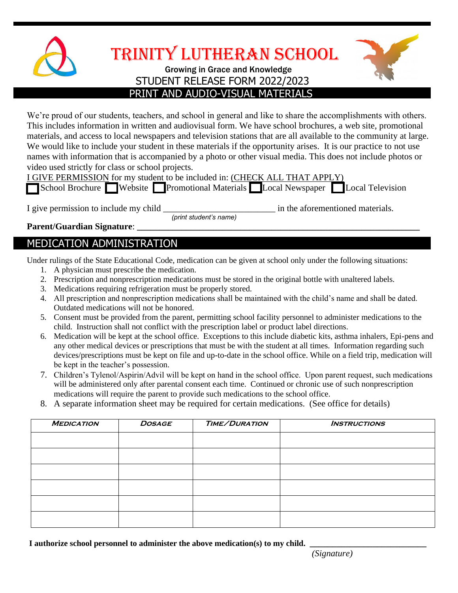



### Growing in Grace and Knowledge STUDENT RELEASE FORM 2022/2023 PRINT AND AUDIO-VISUAL MATERIALS

We're proud of our students, teachers, and school in general and like to share the accomplishments with others. This includes information in written and audiovisual form. We have school brochures, a web site, promotional materials, and access to local newspapers and television stations that are all available to the community at large. We would like to include your student in these materials if the opportunity arises. It is our practice to not use names with information that is accompanied by a photo or other visual media. This does not include photos or video used strictly for class or school projects.

|  | I GIVE PERMISSION for my student to be included in: (CHECK ALL THAT APPLY)     |  |
|--|--------------------------------------------------------------------------------|--|
|  | School Brochure Website Promotional Materials Local Newspaper Local Television |  |

I give permission to include my child \_\_\_\_\_\_\_\_\_\_\_\_\_\_\_\_\_\_\_\_\_\_\_\_\_ in the aforementioned materials.

*(print student's name)*

Parent/Guardian Signature:

## MEDICATION ADMINISTRATION

Under rulings of the State Educational Code, medication can be given at school only under the following situations:

- 1. A physician must prescribe the medication.
- 2. Prescription and nonprescription medications must be stored in the original bottle with unaltered labels.
- 3. Medications requiring refrigeration must be properly stored.
- 4. All prescription and nonprescription medications shall be maintained with the child's name and shall be dated. Outdated medications will not be honored.
- 5. Consent must be provided from the parent, permitting school facility personnel to administer medications to the child. Instruction shall not conflict with the prescription label or product label directions.
- 6. Medication will be kept at the school office. Exceptions to this include diabetic kits, asthma inhalers, Epi-pens and any other medical devices or prescriptions that must be with the student at all times. Information regarding such devices/prescriptions must be kept on file and up-to-date in the school office. While on a field trip, medication will be kept in the teacher's possession.
- 7. Children's Tylenol/Aspirin/Advil will be kept on hand in the school office. Upon parent request, such medications will be administered only after parental consent each time. Continued or chronic use of such nonprescription medications will require the parent to provide such medications to the school office.
- 8. A separate information sheet may be required for certain medications. (See office for details)

| <b>MEDICATION</b> | <b>DOSAGE</b> | <b>TIME/DURATION</b> | <b>INSTRUCTIONS</b> |
|-------------------|---------------|----------------------|---------------------|
|                   |               |                      |                     |
|                   |               |                      |                     |
|                   |               |                      |                     |
|                   |               |                      |                     |
|                   |               |                      |                     |
|                   |               |                      |                     |

**I** authorize school personnel to administer the above medication(s) to my child.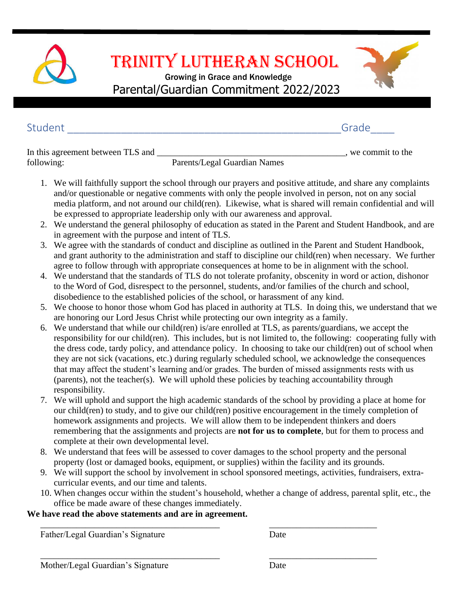

 Growing in Grace and Knowledge Parental/Guardian Commitment 2022/2023



| Student                                       |                           |  | Grade              |
|-----------------------------------------------|---------------------------|--|--------------------|
| In this agreement between TLS and<br>$c_{11}$ | $\mathbf{u}$ $\mathbf{v}$ |  | , we commit to the |

following: Parents/Legal Guardian Names

- 1. We will faithfully support the school through our prayers and positive attitude, and share any complaints and/or questionable or negative comments with only the people involved in person, not on any social media platform, and not around our child(ren). Likewise, what is shared will remain confidential and will be expressed to appropriate leadership only with our awareness and approval.
- 2. We understand the general philosophy of education as stated in the Parent and Student Handbook, and are in agreement with the purpose and intent of TLS.
- 3. We agree with the standards of conduct and discipline as outlined in the Parent and Student Handbook, and grant authority to the administration and staff to discipline our child(ren) when necessary. We further agree to follow through with appropriate consequences at home to be in alignment with the school.
- 4. We understand that the standards of TLS do not tolerate profanity, obscenity in word or action, dishonor to the Word of God, disrespect to the personnel, students, and/or families of the church and school, disobedience to the established policies of the school, or harassment of any kind.
- 5. We choose to honor those whom God has placed in authority at TLS. In doing this, we understand that we are honoring our Lord Jesus Christ while protecting our own integrity as a family.
- 6. We understand that while our child(ren) is/are enrolled at TLS, as parents/guardians, we accept the responsibility for our child(ren). This includes, but is not limited to, the following: cooperating fully with the dress code, tardy policy, and attendance policy. In choosing to take our child(ren) out of school when they are not sick (vacations, etc.) during regularly scheduled school, we acknowledge the consequences that may affect the student's learning and/or grades. The burden of missed assignments rests with us (parents), not the teacher(s). We will uphold these policies by teaching accountability through responsibility.
- 7. We will uphold and support the high academic standards of the school by providing a place at home for our child(ren) to study, and to give our child(ren) positive encouragement in the timely completion of homework assignments and projects. We will allow them to be independent thinkers and doers remembering that the assignments and projects are **not for us to complete**, but for them to process and complete at their own developmental level.
- 8. We understand that fees will be assessed to cover damages to the school property and the personal property (lost or damaged books, equipment, or supplies) within the facility and its grounds.

\_\_\_\_\_\_\_\_\_\_\_\_\_\_\_\_\_\_\_\_\_\_\_\_\_\_\_\_\_\_\_\_\_\_\_\_\_\_\_\_ \_\_\_\_\_\_\_\_\_\_\_\_\_\_\_\_\_\_\_\_\_\_\_\_

\_\_\_\_\_\_\_\_\_\_\_\_\_\_\_\_\_\_\_\_\_\_\_\_\_\_\_\_\_\_\_\_\_\_\_\_\_\_\_\_ \_\_\_\_\_\_\_\_\_\_\_\_\_\_\_\_\_\_\_\_\_\_\_\_

- 9. We will support the school by involvement in school sponsored meetings, activities, fundraisers, extracurricular events, and our time and talents.
- 10. When changes occur within the student's household, whether a change of address, parental split, etc., the office be made aware of these changes immediately.

#### **We have read the above statements and are in agreement.**

Father/Legal Guardian's Signature Date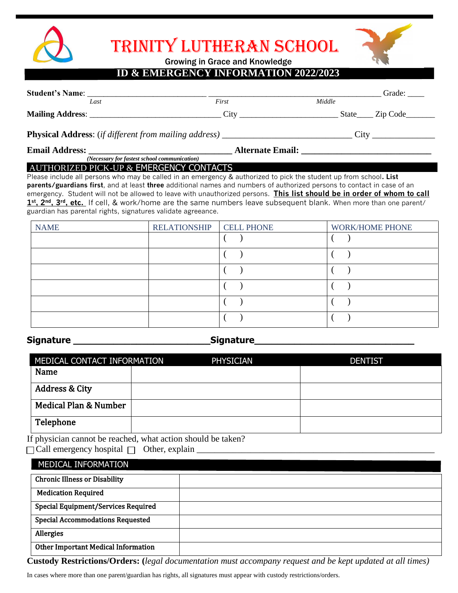

Growing in Grace and Knowledge

### **ID & EMERGENCY INFORMATION 2022/2023**

| <b>Student's Name:</b>  |                                                              |       |        | Grade:   |
|-------------------------|--------------------------------------------------------------|-------|--------|----------|
|                         | Last                                                         | First | Middle |          |
| <b>Mailing Address:</b> |                                                              | C`itv | State  | Zip Code |
|                         | <b>Physical Address:</b> (if different from mailing address) |       | City   |          |

#### **Email Address: \_\_\_\_\_\_\_\_\_\_\_\_\_\_\_\_\_\_\_\_\_\_\_\_\_\_\_\_\_\_\_\_ Alternate Email: \_\_\_\_\_\_\_\_\_\_\_\_\_\_\_\_\_\_\_\_\_\_\_\_\_\_\_\_\_** *(Necessary for fastest school communication)*

#### AUTHORIZED PICK-UP & EMERGENCY CONTACTS

Please include all persons who may be called in an emergency & authorized to pick the student up from school**. List parents/guardians first**, and at least **three** additional names and numbers of authorized persons to contact in case of an emergency. Student will not be allowed to leave with unauthorized persons. **This list should be in order of whom to call 1st, 2nd, 3rd, etc.** If cell, & work/home are the same numbers leave subsequent blank. When more than one parent/ guardian has parental rights, signatures validate agreeance.

| <b>NAME</b> | <b>RELATIONSHIP</b> | <b>CELL PHONE</b> | <b>WORK/HOME PHONE</b> |
|-------------|---------------------|-------------------|------------------------|
|             |                     |                   |                        |
|             |                     |                   |                        |
|             |                     |                   |                        |
|             |                     |                   |                        |
|             |                     |                   |                        |
|             |                     |                   |                        |

#### **Signature**  and **Signature Signature**

| MEDICAL CONTACT INFORMATION | <b>PHYSICIAN</b> | <b>DENTIST</b> |
|-----------------------------|------------------|----------------|
| <b>Name</b>                 |                  |                |
| <b>Address &amp; City</b>   |                  |                |
| Medical Plan & Number       |                  |                |
| Telephone                   |                  |                |

If physician cannot be reached, what action should be taken?  $\Box$  Call emergency hospital  $\Box$  Other, explain  $\Box$ 

| MEDICAL INFORMATION                        |
|--------------------------------------------|
| <b>Chronic Illness or Disability</b>       |
| <b>Medication Required</b>                 |
| <b>Special Equipment/Services Required</b> |
| <b>Special Accommodations Requested</b>    |
| Allergies                                  |
| Other Important Medical Information        |

**Custody Restrictions/Orders: (***legal documentation must accompany request and be kept updated at all times)*

In cases where more than one parent/guardian has rights, all signatures must appear with custody restrictions/orders.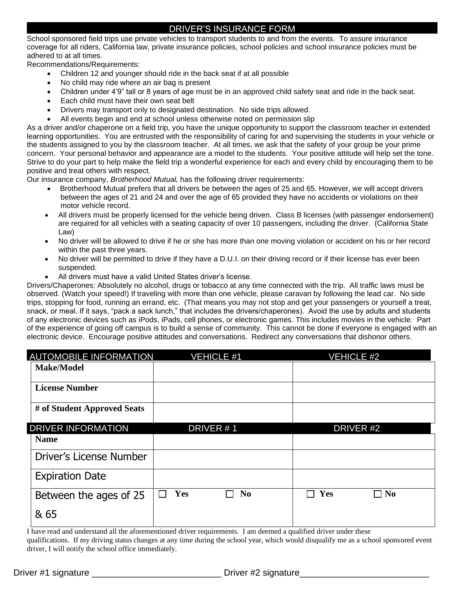#### DRIVER'S INSURANCE FORM

School sponsored field trips use private vehicles to transport students to and from the events. To assure insurance coverage for all riders, California law, private insurance policies, school policies and school insurance policies must be adhered to at all times.

Recommendations/Requirements:

- Children 12 and younger should ride in the back seat if at all possible
- No child may ride where an air bag is present
- Children under 4'9" tall or 8 years of age must be in an approved child safety seat and ride in the back seat.
- Each child must have their own seat belt
- Drivers may transport only to designated destination. No side trips allowed.
- All events begin and end at school unless otherwise noted on permission slip

As a driver and/or chaperone on a field trip, you have the unique opportunity to support the classroom teacher in extended learning opportunities. You are entrusted with the responsibility of caring for and supervising the students in your vehicle or the students assigned to you by the classroom teacher. At all times, we ask that the safety of your group be your prime concern. Your personal behavior and appearance are a model to the students. Your positive attitude will help set the tone. Strive to do your part to help make the field trip a wonderful experience for each and every child by encouraging them to be positive and treat others with respect.

Our insurance company, *Brotherhood Mutual,* has the following driver requirements:

- Brotherhood Mutual prefers that all drivers be between the ages of 25 and 65. However, we will accept drivers between the ages of 21 and 24 and over the age of 65 provided they have no accidents or violations on their motor vehicle record.
- All drivers must be properly licensed for the vehicle being driven. Class B licenses (with passenger endorsement) are required for all vehicles with a seating capacity of over 10 passengers, including the driver. (California State Law)
- No driver will be allowed to drive if he or she has more than one moving violation or accident on his or her record within the past three years.
- No driver will be permitted to drive if they have a D.U.I. on their driving record or if their license has ever been suspended.
- All drivers must have a valid United States driver's license.

Drivers/Chaperones: Absolutely no alcohol, drugs or tobacco at any time connected with the trip. All traffic laws must be observed. (Watch your speed!) If traveling with more than one vehicle, please caravan by following the lead car. No side trips, stopping for food, running an errand, etc. (That means you may not stop and get your passengers or yourself a treat, snack, or meal. If it says, "pack a sack lunch," that includes the drivers/chaperones). Avoid the use by adults and students of any electronic devices such as iPods, iPads, cell phones, or electronic games. This includes movies in the vehicle. Part of the experience of going off campus is to build a sense of community. This cannot be done if everyone is engaged with an electronic device. Encourage positive attitudes and conversations. Redirect any conversations that dishonor others.

| <b>AUTOMOBILE INFORMATION</b>  | <b>VEHICLE #1</b>     | <b>VEHICLE #2</b> |
|--------------------------------|-----------------------|-------------------|
| <b>Make/Model</b>              |                       |                   |
| <b>License Number</b>          |                       |                   |
| # of Student Approved Seats    |                       |                   |
| <b>DRIVER INFORMATION</b>      | DRIVER #1             | DRIVER #2         |
| <b>Name</b>                    |                       |                   |
| <b>Driver's License Number</b> |                       |                   |
| <b>Expiration Date</b>         |                       |                   |
| Between the ages of 25         | Yes<br>N <sub>0</sub> | Yes<br>$\Box$ No  |
| & 65                           |                       |                   |

I have read and understand all the aforementioned driver requirements. I am deemed a qualified driver under these qualifications. If my driving status changes at any time during the school year, which would disqualify me as a school sponsored event driver, I will notify the school office immediately.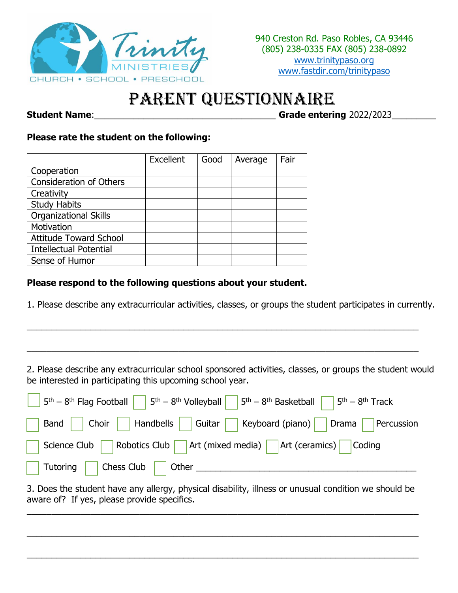

940 Creston Rd. Paso Robles, CA 93446 (805) 238-0335 FAX (805) 238-0892 [www.trinitypaso.org](http://www.trinitypaso.org/) [www.fastdir.com/trinitypaso](http://www.fastdir.com/trinitypaso)

## Parent Questionnaire

**Student Name: Student Name**: **Student Name**: **Student Name**: **Student Name: Grade entering** 2022/2023

#### **Please rate the student on the following:**

|                                | Excellent | Good | Average | Fair |
|--------------------------------|-----------|------|---------|------|
| Cooperation                    |           |      |         |      |
| <b>Consideration of Others</b> |           |      |         |      |
| Creativity                     |           |      |         |      |
| <b>Study Habits</b>            |           |      |         |      |
| <b>Organizational Skills</b>   |           |      |         |      |
| Motivation                     |           |      |         |      |
| <b>Attitude Toward School</b>  |           |      |         |      |
| <b>Intellectual Potential</b>  |           |      |         |      |
| Sense of Humor                 |           |      |         |      |

#### **Please respond to the following questions about your student.**

1. Please describe any extracurricular activities, classes, or groups the student participates in currently.

\_\_\_\_\_\_\_\_\_\_\_\_\_\_\_\_\_\_\_\_\_\_\_\_\_\_\_\_\_\_\_\_\_\_\_\_\_\_\_\_\_\_\_\_\_\_\_\_\_\_\_\_\_\_\_\_\_\_\_\_\_\_\_\_\_\_\_\_\_\_\_\_\_\_\_\_\_\_\_\_

\_\_\_\_\_\_\_\_\_\_\_\_\_\_\_\_\_\_\_\_\_\_\_\_\_\_\_\_\_\_\_\_\_\_\_\_\_\_\_\_\_\_\_\_\_\_\_\_\_\_\_\_\_\_\_\_\_\_\_\_\_\_\_\_\_\_\_\_\_\_\_\_\_\_\_\_\_\_\_\_

2. Please describe any extracurricular school sponsored activities, classes, or groups the student would be interested in participating this upcoming school year.

| Band   Choir   Handbells   Guitar   Keyboard (piano)   Drama   Percussion                            |
|------------------------------------------------------------------------------------------------------|
| Science Club Robotics Club Art (mixed media) Art (ceramics) Coding                                   |
| $\vert$ Tutoring $\vert$ Chess Club $\vert$ Other ____                                               |
| 3. Does the student have any allergy, physical disability, illness or unusual condition we should be |

\_\_\_\_\_\_\_\_\_\_\_\_\_\_\_\_\_\_\_\_\_\_\_\_\_\_\_\_\_\_\_\_\_\_\_\_\_\_\_\_\_\_\_\_\_\_\_\_\_\_\_\_\_\_\_\_\_\_\_\_\_\_\_\_\_\_\_\_\_\_\_\_\_\_\_\_\_\_\_\_

\_\_\_\_\_\_\_\_\_\_\_\_\_\_\_\_\_\_\_\_\_\_\_\_\_\_\_\_\_\_\_\_\_\_\_\_\_\_\_\_\_\_\_\_\_\_\_\_\_\_\_\_\_\_\_\_\_\_\_\_\_\_\_\_\_\_\_\_\_\_\_\_\_\_\_\_\_\_\_\_

\_\_\_\_\_\_\_\_\_\_\_\_\_\_\_\_\_\_\_\_\_\_\_\_\_\_\_\_\_\_\_\_\_\_\_\_\_\_\_\_\_\_\_\_\_\_\_\_\_\_\_\_\_\_\_\_\_\_\_\_\_\_\_\_\_\_\_\_\_\_\_\_\_\_\_\_\_\_\_\_

aware of? If yes, please provide specifics.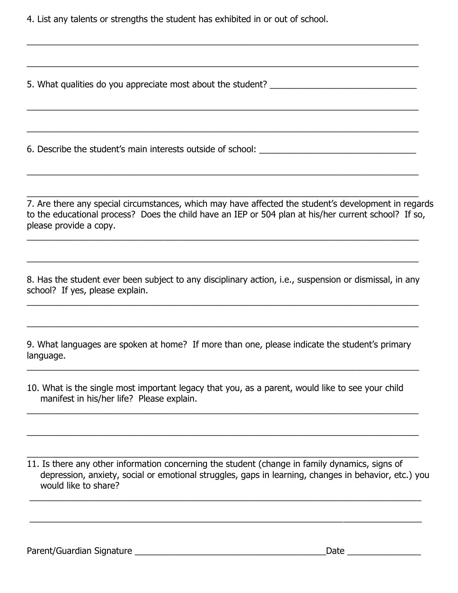4. List any talents or strengths the student has exhibited in or out of school.

5. What qualities do you appreciate most about the student?

6. Describe the student's main interests outside of school: \_\_\_\_\_\_\_\_\_\_\_\_\_\_\_\_\_\_\_\_\_

\_\_\_\_\_\_\_\_\_\_\_\_\_\_\_\_\_\_\_\_\_\_\_\_\_\_\_\_\_\_\_\_\_\_\_\_\_\_\_\_\_\_\_\_\_\_\_\_\_\_\_\_\_\_\_\_\_\_\_\_\_\_\_\_\_\_\_\_\_\_\_\_\_\_\_\_\_\_\_\_ 7. Are there any special circumstances, which may have affected the student's development in regards to the educational process? Does the child have an IEP or 504 plan at his/her current school? If so, please provide a copy.

\_\_\_\_\_\_\_\_\_\_\_\_\_\_\_\_\_\_\_\_\_\_\_\_\_\_\_\_\_\_\_\_\_\_\_\_\_\_\_\_\_\_\_\_\_\_\_\_\_\_\_\_\_\_\_\_\_\_\_\_\_\_\_\_\_\_\_\_\_\_\_\_\_\_\_\_\_\_\_\_

\_\_\_\_\_\_\_\_\_\_\_\_\_\_\_\_\_\_\_\_\_\_\_\_\_\_\_\_\_\_\_\_\_\_\_\_\_\_\_\_\_\_\_\_\_\_\_\_\_\_\_\_\_\_\_\_\_\_\_\_\_\_\_\_\_\_\_\_\_\_\_\_\_\_\_\_\_\_\_\_

\_\_\_\_\_\_\_\_\_\_\_\_\_\_\_\_\_\_\_\_\_\_\_\_\_\_\_\_\_\_\_\_\_\_\_\_\_\_\_\_\_\_\_\_\_\_\_\_\_\_\_\_\_\_\_\_\_\_\_\_\_\_\_\_\_\_\_\_\_\_\_\_\_\_\_\_\_\_\_\_

\_\_\_\_\_\_\_\_\_\_\_\_\_\_\_\_\_\_\_\_\_\_\_\_\_\_\_\_\_\_\_\_\_\_\_\_\_\_\_\_\_\_\_\_\_\_\_\_\_\_\_\_\_\_\_\_\_\_\_\_\_\_\_\_\_\_\_\_\_\_\_\_\_\_\_\_\_\_\_\_

\_\_\_\_\_\_\_\_\_\_\_\_\_\_\_\_\_\_\_\_\_\_\_\_\_\_\_\_\_\_\_\_\_\_\_\_\_\_\_\_\_\_\_\_\_\_\_\_\_\_\_\_\_\_\_\_\_\_\_\_\_\_\_\_\_\_\_\_\_\_\_\_\_\_\_\_\_\_\_\_

8. Has the student ever been subject to any disciplinary action, i.e., suspension or dismissal, in any school? If yes, please explain.

\_\_\_\_\_\_\_\_\_\_\_\_\_\_\_\_\_\_\_\_\_\_\_\_\_\_\_\_\_\_\_\_\_\_\_\_\_\_\_\_\_\_\_\_\_\_\_\_\_\_\_\_\_\_\_\_\_\_\_\_\_\_\_\_\_\_\_\_\_\_\_\_\_\_\_\_\_\_\_\_

\_\_\_\_\_\_\_\_\_\_\_\_\_\_\_\_\_\_\_\_\_\_\_\_\_\_\_\_\_\_\_\_\_\_\_\_\_\_\_\_\_\_\_\_\_\_\_\_\_\_\_\_\_\_\_\_\_\_\_\_\_\_\_\_\_\_\_\_\_\_\_\_\_\_\_\_\_\_\_\_

\_\_\_\_\_\_\_\_\_\_\_\_\_\_\_\_\_\_\_\_\_\_\_\_\_\_\_\_\_\_\_\_\_\_\_\_\_\_\_\_\_\_\_\_\_\_\_\_\_\_\_\_\_\_\_\_\_\_\_\_\_\_\_\_\_\_\_\_\_\_\_\_\_\_\_\_\_\_\_\_

\_\_\_\_\_\_\_\_\_\_\_\_\_\_\_\_\_\_\_\_\_\_\_\_\_\_\_\_\_\_\_\_\_\_\_\_\_\_\_\_\_\_\_\_\_\_\_\_\_\_\_\_\_\_\_\_\_\_\_\_\_\_\_\_\_\_\_\_\_\_\_\_\_\_\_\_\_\_\_\_

9. What languages are spoken at home? If more than one, please indicate the student's primary language.

\_\_\_\_\_\_\_\_\_\_\_\_\_\_\_\_\_\_\_\_\_\_\_\_\_\_\_\_\_\_\_\_\_\_\_\_\_\_\_\_\_\_\_\_\_\_\_\_\_\_\_\_\_\_\_\_\_\_\_\_\_\_\_\_\_\_\_\_\_\_\_\_\_\_\_\_\_\_\_\_

\_\_\_\_\_\_\_\_\_\_\_\_\_\_\_\_\_\_\_\_\_\_\_\_\_\_\_\_\_\_\_\_\_\_\_\_\_\_\_\_\_\_\_\_\_\_\_\_\_\_\_\_\_\_\_\_\_\_\_\_\_\_\_\_\_\_\_\_\_\_\_\_\_\_\_\_\_\_\_\_

\_\_\_\_\_\_\_\_\_\_\_\_\_\_\_\_\_\_\_\_\_\_\_\_\_\_\_\_\_\_\_\_\_\_\_\_\_\_\_\_\_\_\_\_\_\_\_\_\_\_\_\_\_\_\_\_\_\_\_\_\_\_\_\_\_\_\_\_\_\_\_\_\_\_\_\_\_\_\_\_

\_\_\_\_\_\_\_\_\_\_\_\_\_\_\_\_\_\_\_\_\_\_\_\_\_\_\_\_\_\_\_\_\_\_\_\_\_\_\_\_\_\_\_\_\_\_\_\_\_\_\_\_\_\_\_\_\_\_\_\_\_\_\_\_\_\_\_\_\_\_\_\_\_\_\_\_\_\_\_\_

10. What is the single most important legacy that you, as a parent, would like to see your child manifest in his/her life? Please explain.

11. Is there any other information concerning the student (change in family dynamics, signs of depression, anxiety, social or emotional struggles, gaps in learning, changes in behavior, etc.) you would like to share?

\_\_\_\_\_\_\_\_\_\_\_\_\_\_\_\_\_\_\_\_\_\_\_\_\_\_\_\_\_\_\_\_\_\_\_\_\_\_\_\_\_\_\_\_\_\_\_\_\_\_\_\_\_\_\_\_\_\_\_\_\_\_\_\_\_\_\_\_\_\_\_\_\_\_\_\_\_\_\_\_

\_\_\_\_\_\_\_\_\_\_\_\_\_\_\_\_\_\_\_\_\_\_\_\_\_\_\_\_\_\_\_\_\_\_\_\_\_\_\_\_\_\_\_\_\_\_\_\_\_\_\_\_\_\_\_\_\_\_\_\_\_\_\_\_\_\_\_\_\_\_\_\_\_\_\_\_\_\_\_\_

Parent/Guardian Signature \_\_\_\_\_\_\_\_\_\_\_\_\_\_\_\_\_\_\_\_\_\_\_\_\_\_\_\_\_\_\_\_\_\_\_\_\_\_\_Date \_\_\_\_\_\_\_\_\_\_\_\_\_\_\_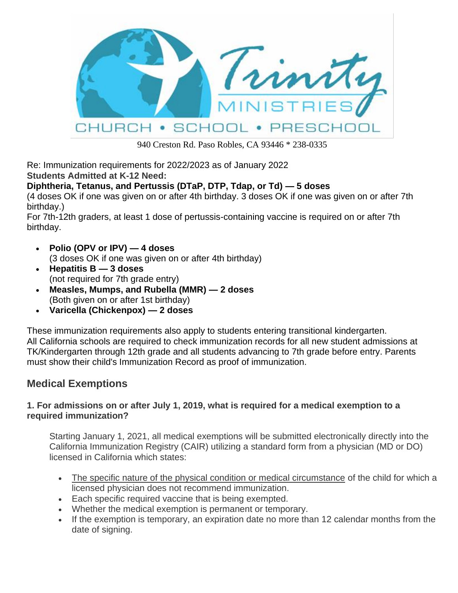

940 Creston Rd. Paso Robles, CA 93446 \* 238-0335

Re: Immunization requirements for 2022/2023 as of January 2022 **Students Admitted at K-12 Need:**

#### **Diphtheria, Tetanus, and Pertussis (DTaP, DTP, Tdap, or Td) — 5 doses**

(4 doses OK if one was given on or after 4th birthday. 3 doses OK if one was given on or after 7th birthday.)

For 7th-12th graders, at least 1 dose of pertussis-containing vaccine is required on or after 7th birthday.

- **Polio (OPV or IPV) — 4 doses** 
	- (3 doses OK if one was given on or after 4th birthday)
- **Hepatitis B — 3 doses**  (not required for 7th grade entry)
- **Measles, Mumps, and Rubella (MMR) — 2 doses**  (Both given on or after 1st birthday)
- **Varicella (Chickenpox) — 2 doses**

These immunization requirements also apply to students entering transitional kindergarten. All California schools are required to check immunization records for all new student admissions at TK/Kindergarten through 12th grade and all students advancing to 7th grade before entry. Parents must show their child's Immunization Record as proof of immunization.

### **Medical Exemptions**

#### **1. For admissions on or after July 1, 2019, what is required for a medical exemption to a required immunization?**

Starting January 1, 2021, all medical exemptions will be submitted electronically directly into the California Immunization Registry (CAIR) utilizing a standard form from a physician (MD or DO) licensed in California which states:

- The specific nature of the physical condition or medical circumstance of the child for which a licensed physician does not recommend immunization.
- Each specific required vaccine that is being exempted.
- Whether the medical exemption is permanent or temporary.
- If the exemption is temporary, an expiration date no more than 12 calendar months from the date of signing.